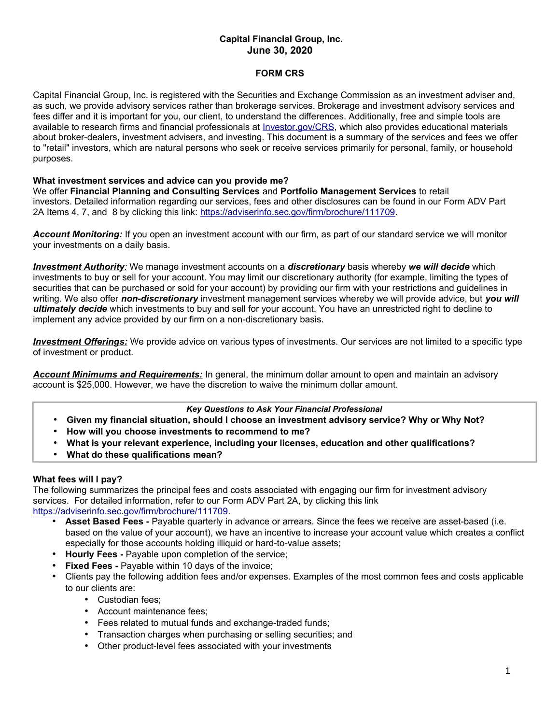# **Capital Financial Group, Inc. June 30, 2020**

## **FORM CRS**

Capital Financial Group, Inc. is registered with the Securities and Exchange Commission as an investment adviser and, as such, we provide advisory services rather than brokerage services. Brokerage and investment advisory services and fees differ and it is important for you, our client, to understand the differences. Additionally, free and simple tools are available to research firms and financial professionals at [Investor.gov/CRS,](http://www.Investor.gov/CRS) which also provides educational materials about broker-dealers, investment advisers, and investing. This document is a summary of the services and fees we offer to "retail" investors, which are natural persons who seek or receive services primarily for personal, family, or household purposes.

### **What investment services and advice can you provide me?**

We offer **Financial Planning and Consulting Services** and **Portfolio Management Services** to retail investors. Detailed information regarding our services, fees and other disclosures can be found in our Form ADV Part 2A Items 4, 7, and 8 by clicking this link: [https://adviserinfo.sec.gov/firm/brochure/111709.](https://adviserinfo.sec.gov/firm/brochure/111709)

*Account Monitoring:* If you open an investment account with our firm, as part of our standard service we will monitor your investments on a daily basis.

 *Investment Authority:* We manage investment accounts on a *discretionary* basis whereby *we will decide* which investments to buy or sell for your account. You may limit our discretionary authority (for example, limiting the types of securities that can be purchased or sold for your account) by providing our firm with your restrictions and guidelines in writing. We also offer *non-discretionary* investment management services whereby we will provide advice, but *you will ultimately decide* which investments to buy and sell for your account. You have an unrestricted right to decline to implement any advice provided by our firm on a non-discretionary basis.

 *Investment Offerings:* We provide advice on various types of investments. Our services are not limited to a specific type of investment or product.

*Account Minimums and Requirements:* In general, the minimum dollar amount to open and maintain an advisory account is \$25,000. However, we have the discretion to waive the minimum dollar amount.

### *Key Questions to Ask Your Financial Professional*

- **Given my financial situation, should I choose an investment advisory service? Why or Why Not?**
- **How will you choose investments to recommend to me?**
- **What is your relevant experience, including your licenses, education and other qualifications?**
- **What do these qualifications mean?**

#### **What fees will I pay?**

The following summarizes the principal fees and costs associated with engaging our firm for investment advisory services. For detailed information, refer to our Form ADV Part 2A, by clicking this link [https://adviserinfo.sec.gov/firm/brochure/111709.](https://adviserinfo.sec.gov/firm/brochure/111709)

- **Asset Based Fees -** Payable quarterly in advance or arrears. Since the fees we receive are asset-based (i.e. based on the value of your account), we have an incentive to increase your account value which creates a conflict especially for those accounts holding illiquid or hard-to-value assets;
- **Hourly Fees -** Payable upon completion of the service;
- **Fixed Fees -** Payable within 10 days of the invoice;
- Clients pay the following addition fees and/or expenses. Examples of the most common fees and costs applicable to our clients are:
	- Custodian fees;
	- Account maintenance fees;
	- Fees related to mutual funds and exchange-traded funds;
	- Transaction charges when purchasing or selling securities; and
	- Other product-level fees associated with your investments